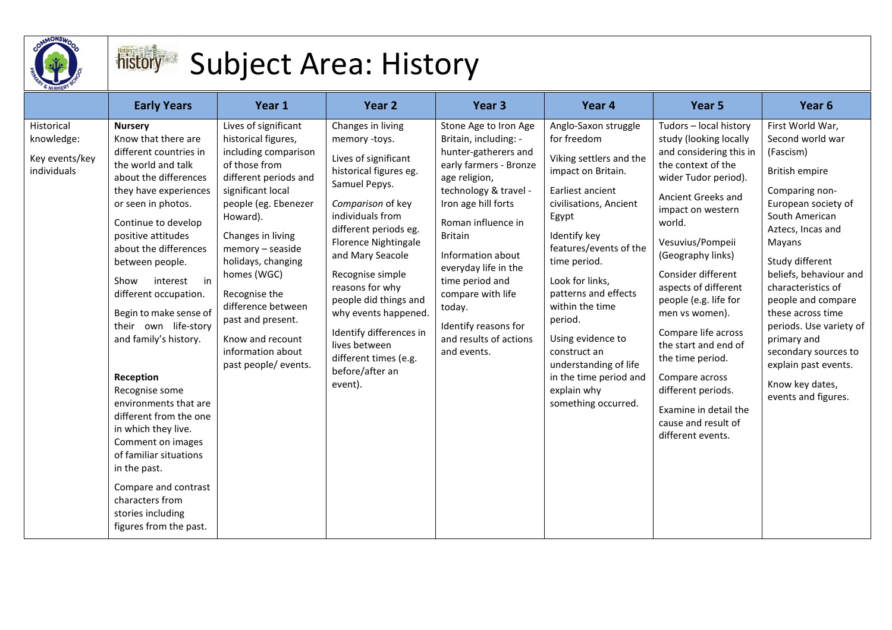

## Subject Area: History

|                                                           | <b>Early Years</b>                                                                                                                                                                                                                                                                                                                                                                                                                                                                                                                                                                                                                                  | Year 1                                                                                                                                                                                                                                                                                                                                                                            | Year 2                                                                                                                                                                                                                                                                                                                                                                                                                | Year <sub>3</sub>                                                                                                                                                                                                                                                                                                                                                         | Year 4                                                                                                                                                                                                                                                                                                                                                                                                       | Year <sub>5</sub>                                                                                                                                                                                                                                                                                                                                                                                                                                                                                | Year <sub>6</sub>                                                                                                                                                                                                                                                                                                                                                                                                      |
|-----------------------------------------------------------|-----------------------------------------------------------------------------------------------------------------------------------------------------------------------------------------------------------------------------------------------------------------------------------------------------------------------------------------------------------------------------------------------------------------------------------------------------------------------------------------------------------------------------------------------------------------------------------------------------------------------------------------------------|-----------------------------------------------------------------------------------------------------------------------------------------------------------------------------------------------------------------------------------------------------------------------------------------------------------------------------------------------------------------------------------|-----------------------------------------------------------------------------------------------------------------------------------------------------------------------------------------------------------------------------------------------------------------------------------------------------------------------------------------------------------------------------------------------------------------------|---------------------------------------------------------------------------------------------------------------------------------------------------------------------------------------------------------------------------------------------------------------------------------------------------------------------------------------------------------------------------|--------------------------------------------------------------------------------------------------------------------------------------------------------------------------------------------------------------------------------------------------------------------------------------------------------------------------------------------------------------------------------------------------------------|--------------------------------------------------------------------------------------------------------------------------------------------------------------------------------------------------------------------------------------------------------------------------------------------------------------------------------------------------------------------------------------------------------------------------------------------------------------------------------------------------|------------------------------------------------------------------------------------------------------------------------------------------------------------------------------------------------------------------------------------------------------------------------------------------------------------------------------------------------------------------------------------------------------------------------|
| Historical<br>knowledge:<br>Key events/key<br>individuals | <b>Nursery</b><br>Know that there are<br>different countries in<br>the world and talk<br>about the differences<br>they have experiences<br>or seen in photos.<br>Continue to develop<br>positive attitudes<br>about the differences<br>between people.<br>Show<br>interest in<br>different occupation.<br>Begin to make sense of<br>their own life-story<br>and family's history.<br>Reception<br>Recognise some<br>environments that are<br>different from the one<br>in which they live.<br>Comment on images<br>of familiar situations<br>in the past.<br>Compare and contrast<br>characters from<br>stories including<br>figures from the past. | Lives of significant<br>historical figures,<br>including comparison<br>of those from<br>different periods and<br>significant local<br>people (eg. Ebenezer<br>Howard).<br>Changes in living<br>memory - seaside<br>holidays, changing<br>homes (WGC)<br>Recognise the<br>difference between<br>past and present.<br>Know and recount<br>information about<br>past people/ events. | Changes in living<br>memory -toys.<br>Lives of significant<br>historical figures eg.<br>Samuel Pepys.<br>Comparison of key<br>individuals from<br>different periods eg.<br><b>Florence Nightingale</b><br>and Mary Seacole<br>Recognise simple<br>reasons for why<br>people did things and<br>why events happened.<br>Identify differences in<br>lives between<br>different times (e.g.<br>before/after an<br>event). | Stone Age to Iron Age<br>Britain, including: -<br>hunter-gatherers and<br>early farmers - Bronze<br>age religion,<br>technology & travel -<br>Iron age hill forts<br>Roman influence in<br><b>Britain</b><br>Information about<br>everyday life in the<br>time period and<br>compare with life<br>today.<br>Identify reasons for<br>and results of actions<br>and events. | Anglo-Saxon struggle<br>for freedom<br>Viking settlers and the<br>impact on Britain.<br>Earliest ancient<br>civilisations, Ancient<br>Egypt<br>Identify key<br>features/events of the<br>time period.<br>Look for links,<br>patterns and effects<br>within the time<br>period.<br>Using evidence to<br>construct an<br>understanding of life<br>in the time period and<br>explain why<br>something occurred. | Tudors - local history<br>study (looking locally<br>and considering this in<br>the context of the<br>wider Tudor period).<br>Ancient Greeks and<br>impact on western<br>world.<br>Vesuvius/Pompeii<br>(Geography links)<br>Consider different<br>aspects of different<br>people (e.g. life for<br>men vs women).<br>Compare life across<br>the start and end of<br>the time period.<br>Compare across<br>different periods.<br>Examine in detail the<br>cause and result of<br>different events. | First World War,<br>Second world war<br>(Fascism)<br><b>British empire</b><br>Comparing non-<br>European society of<br>South American<br>Aztecs, Incas and<br>Mayans<br>Study different<br>beliefs, behaviour and<br>characteristics of<br>people and compare<br>these across time<br>periods. Use variety of<br>primary and<br>secondary sources to<br>explain past events.<br>Know key dates,<br>events and figures. |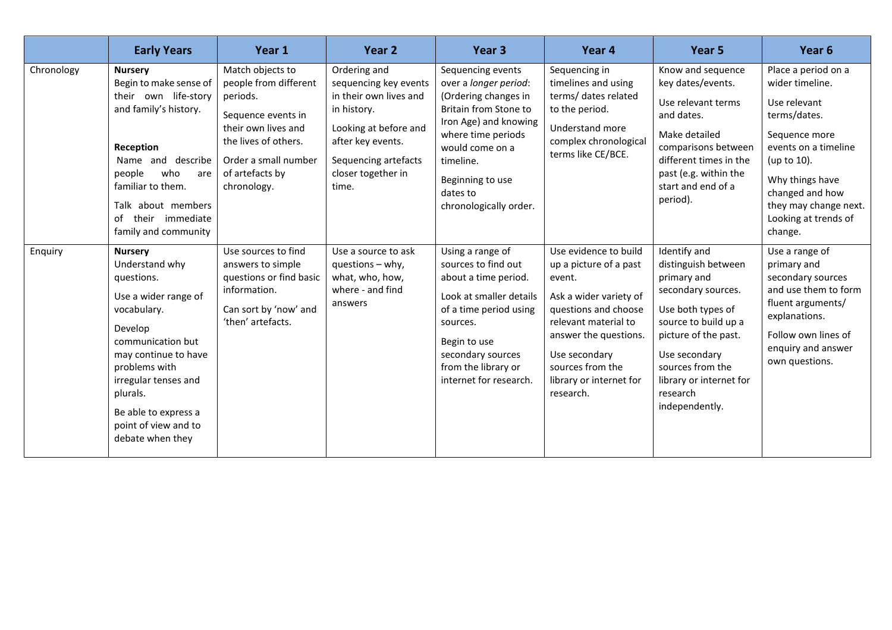|            | <b>Early Years</b>                                                                                                                                                                                                                                                     | Year 1                                                                                                                                                                               | Year 2                                                                                                                                                                              | Year <sub>3</sub>                                                                                                                                                                                                                    | Year <sub>4</sub>                                                                                                                                                                                                                         | Year <sub>5</sub>                                                                                                                                                                                                                           | Year <sub>6</sub>                                                                                                                                                                                                                |
|------------|------------------------------------------------------------------------------------------------------------------------------------------------------------------------------------------------------------------------------------------------------------------------|--------------------------------------------------------------------------------------------------------------------------------------------------------------------------------------|-------------------------------------------------------------------------------------------------------------------------------------------------------------------------------------|--------------------------------------------------------------------------------------------------------------------------------------------------------------------------------------------------------------------------------------|-------------------------------------------------------------------------------------------------------------------------------------------------------------------------------------------------------------------------------------------|---------------------------------------------------------------------------------------------------------------------------------------------------------------------------------------------------------------------------------------------|----------------------------------------------------------------------------------------------------------------------------------------------------------------------------------------------------------------------------------|
| Chronology | <b>Nursery</b><br>Begin to make sense of<br>their own life-story<br>and family's history.<br>Reception<br>Name and describe<br>people<br>who<br>are<br>familiar to them.<br>Talk about members<br>immediate<br>of their<br>family and community                        | Match objects to<br>people from different<br>periods.<br>Sequence events in<br>their own lives and<br>the lives of others.<br>Order a small number<br>of artefacts by<br>chronology. | Ordering and<br>sequencing key events<br>in their own lives and<br>in history.<br>Looking at before and<br>after key events.<br>Sequencing artefacts<br>closer together in<br>time. | Sequencing events<br>over a longer period:<br>(Ordering changes in<br>Britain from Stone to<br>Iron Age) and knowing<br>where time periods<br>would come on a<br>timeline.<br>Beginning to use<br>dates to<br>chronologically order. | Sequencing in<br>timelines and using<br>terms/ dates related<br>to the period.<br>Understand more<br>complex chronological<br>terms like CE/BCE.                                                                                          | Know and sequence<br>key dates/events.<br>Use relevant terms<br>and dates.<br>Make detailed<br>comparisons between<br>different times in the<br>past (e.g. within the<br>start and end of a<br>period).                                     | Place a period on a<br>wider timeline.<br>Use relevant<br>terms/dates.<br>Sequence more<br>events on a timeline<br>(up to 10).<br>Why things have<br>changed and how<br>they may change next.<br>Looking at trends of<br>change. |
| Enquiry    | <b>Nursery</b><br>Understand why<br>questions.<br>Use a wider range of<br>vocabulary.<br>Develop<br>communication but<br>may continue to have<br>problems with<br>irregular tenses and<br>plurals.<br>Be able to express a<br>point of view and to<br>debate when they | Use sources to find<br>answers to simple<br>questions or find basic<br>information.<br>Can sort by 'now' and<br>'then' artefacts.                                                    | Use a source to ask<br>questions - why,<br>what, who, how,<br>where - and find<br>answers                                                                                           | Using a range of<br>sources to find out<br>about a time period.<br>Look at smaller details<br>of a time period using<br>sources.<br>Begin to use<br>secondary sources<br>from the library or<br>internet for research.               | Use evidence to build<br>up a picture of a past<br>event.<br>Ask a wider variety of<br>questions and choose<br>relevant material to<br>answer the questions.<br>Use secondary<br>sources from the<br>library or internet for<br>research. | Identify and<br>distinguish between<br>primary and<br>secondary sources.<br>Use both types of<br>source to build up a<br>picture of the past.<br>Use secondary<br>sources from the<br>library or internet for<br>research<br>independently. | Use a range of<br>primary and<br>secondary sources<br>and use them to form<br>fluent arguments/<br>explanations.<br>Follow own lines of<br>enquiry and answer<br>own questions.                                                  |